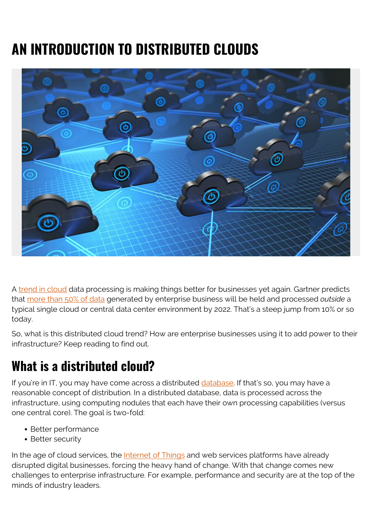# **AN INTRODUCTION TO DISTRIBUTED CLOUDS**



A [trend in cloud](https://blogs.bmc.com/blogs/cloud-growth-trends/) data processing is making things better for businesses yet again. Gartner predicts that [more than 50% of data](https://www.gartner.com/en/doc/432920-top-10-strategic-technology-trends-for-2020) generated by enterprise business will be held and processed *outside* a typical single cloud or central data center environment by 2022. That's a steep jump from 10% or so today.

So, what is this distributed cloud trend? How are enterprise businesses using it to add power to their infrastructure? Keep reading to find out.

# **What is a distributed cloud?**

If you're in IT, you may have come across a distributed [database.](https://blogs.bmc.com/blogs/data-lake-vs-data-warehouse-vs-database-whats-the-difference/) If that's so, you may have a reasonable concept of distribution. In a distributed database, data is processed across the infrastructure, using computing nodules that each have their own processing capabilities (versus one central core). The goal is two-fold:

- Better performance
- Better security

In the age of cloud services, the [Internet of Things](https://blogs.bmc.com/blogs/iot-internet-of-things/) and web services platforms have already disrupted digital businesses, forcing the heavy hand of change. With that change comes new challenges to enterprise infrastructure. For example, performance and security are at the top of the minds of industry leaders.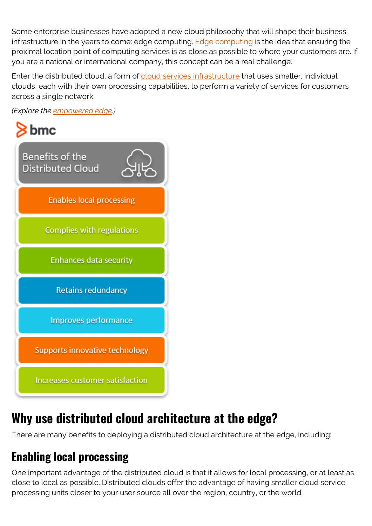Some enterprise businesses have adopted a new cloud philosophy that will shape their business infrastructure in the years to come: edge computing. [Edge computing](https://blogs.bmc.com/blogs/edge-computing/) is the idea that ensuring the proximal location point of computing services is as close as possible to where your customers are. If you are a national or international company, this concept can be a real challenge.

Enter the distributed cloud, a form of [cloud services infrastructure](https://blogs.bmc.com/blogs/cloud-infrastructure/) that uses smaller, individual clouds, each with their own processing capabilities, to perform a variety of services for customers across a single network.

*(Explore the [empowered edge](https://blogs.bmc.com/blogs/empowered-edge/).)*



# **Why use distributed cloud architecture at the edge?**

There are many benefits to deploying a distributed cloud architecture at the edge, including:

## **Enabling local processing**

One important advantage of the distributed cloud is that it allows for local processing, or at least as close to local as possible. Distributed clouds offer the advantage of having smaller cloud service processing units closer to your user source all over the region, country, or the world.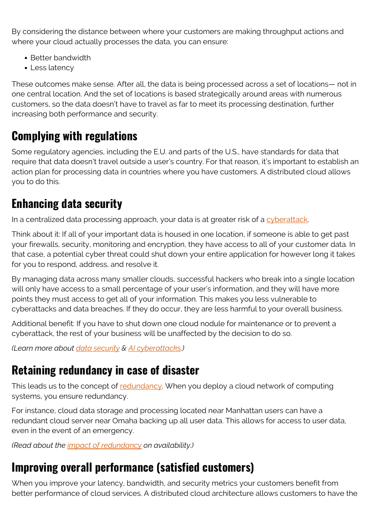By considering the distance between where your customers are making throughput actions and where your cloud actually processes the data, you can ensure:

- Better bandwidth
- Less latency

These outcomes make sense. After all, the data is being processed across a set of locations— not in one central location. And the set of locations is based strategically around areas with numerous customers, so the data doesn't have to travel as far to meet its processing destination, further increasing both performance and security.

#### **Complying with regulations**

Some regulatory agencies, including the E.U. and parts of the U.S., have standards for data that require that data doesn't travel outside a user's country. For that reason, it's important to establish an action plan for processing data in countries where you have customers. A distributed cloud allows you to do this.

### **Enhancing data security**

In a centralized data processing approach, your data is at greater risk of a [cyberattack.](https://blogs.bmc.com/blogs/cybercrime/)

Think about it: If all of your important data is housed in one location, if someone is able to get past your firewalls, security, monitoring and encryption, they have access to all of your customer data. In that case, a potential cyber threat could shut down your entire application for however long it takes for you to respond, address, and resolve it.

By managing data across many smaller clouds, successful hackers who break into a single location will only have access to a small percentage of your user's information, and they will have more points they must access to get all of your information. This makes you less vulnerable to cyberattacks and data breaches. If they do occur, they are less harmful to your overall business.

Additional benefit: If you have to shut down one cloud nodule for maintenance or to prevent a cyberattack, the rest of your business will be unaffected by the decision to do so.

*(Learn more about [data security](https://blogs.bmc.com/blogs/data-security/) & [AI cyberattacks.](https://blogs.bmc.com/blogs/artificial-intelligence-cyberattacks/))*

#### **Retaining redundancy in case of disaster**

This leads us to the concept of [redundancy](https://blogs.bmc.com/blogs/resiliency-vs-redundancy/). When you deploy a cloud network of computing systems, you ensure redundancy.

For instance, cloud data storage and processing located near Manhattan users can have a redundant cloud server near Omaha backing up all user data. This allows for access to user data, even in the event of an emergency.

*(Read about the [impact of redundancy](https://blogs.bmc.com/blogs/redundancy-impact-availability/) on availability.)*

## **Improving overall performance (satisfied customers)**

When you improve your latency, bandwidth, and security metrics your customers benefit from better performance of cloud services. A distributed cloud architecture allows customers to have the